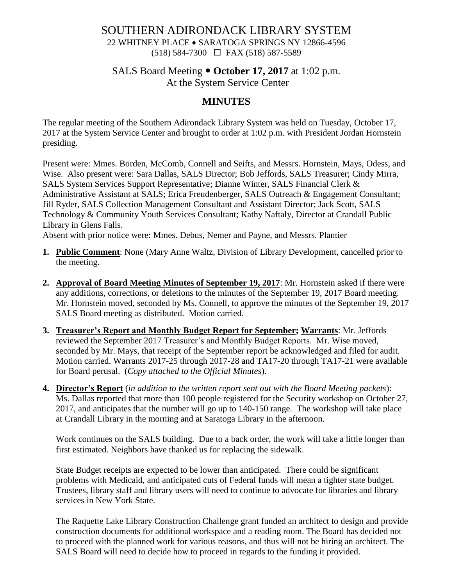## SOUTHERN ADIRONDACK LIBRARY SYSTEM 22 WHITNEY PLACE • SARATOGA SPRINGS NY 12866-4596 (518) 584-7300 FAX (518) 587-5589

## SALS Board Meeting  $\bullet$  October 17, 2017 at 1:02 p.m. At the System Service Center

# **MINUTES**

The regular meeting of the Southern Adirondack Library System was held on Tuesday, October 17, 2017 at the System Service Center and brought to order at 1:02 p.m. with President Jordan Hornstein presiding.

Present were: Mmes. Borden, McComb, Connell and Seifts, and Messrs. Hornstein, Mays, Odess, and Wise. Also present were: Sara Dallas, SALS Director; Bob Jeffords, SALS Treasurer; Cindy Mirra, SALS System Services Support Representative; Dianne Winter, SALS Financial Clerk & Administrative Assistant at SALS; Erica Freudenberger, SALS Outreach & Engagement Consultant; Jill Ryder, SALS Collection Management Consultant and Assistant Director; Jack Scott, SALS Technology & Community Youth Services Consultant; Kathy Naftaly, Director at Crandall Public Library in Glens Falls.

Absent with prior notice were: Mmes. Debus, Nemer and Payne, and Messrs. Plantier

- **1. Public Comment**: None (Mary Anne Waltz, Division of Library Development, cancelled prior to the meeting.
- **2. Approval of Board Meeting Minutes of September 19, 2017**: Mr. Hornstein asked if there were any additions, corrections, or deletions to the minutes of the September 19, 2017 Board meeting. Mr. Hornstein moved, seconded by Ms. Connell, to approve the minutes of the September 19, 2017 SALS Board meeting as distributed. Motion carried.
- **3. Treasurer's Report and Monthly Budget Report for September; Warrants**: Mr. Jeffords reviewed the September 2017 Treasurer's and Monthly Budget Reports. Mr. Wise moved, seconded by Mr. Mays, that receipt of the September report be acknowledged and filed for audit. Motion carried. Warrants 2017-25 through 2017-28 and TA17-20 through TA17-21 were available for Board perusal. (*Copy attached to the Official Minutes*).
- **4. Director's Report** (*in addition to the written report sent out with the Board Meeting packets*): Ms. Dallas reported that more than 100 people registered for the Security workshop on October 27, 2017, and anticipates that the number will go up to 140-150 range. The workshop will take place at Crandall Library in the morning and at Saratoga Library in the afternoon.

Work continues on the SALS building. Due to a back order, the work will take a little longer than first estimated. Neighbors have thanked us for replacing the sidewalk.

State Budget receipts are expected to be lower than anticipated. There could be significant problems with Medicaid, and anticipated cuts of Federal funds will mean a tighter state budget. Trustees, library staff and library users will need to continue to advocate for libraries and library services in New York State.

The Raquette Lake Library Construction Challenge grant funded an architect to design and provide construction documents for additional workspace and a reading room. The Board has decided not to proceed with the planned work for various reasons, and thus will not be hiring an architect. The SALS Board will need to decide how to proceed in regards to the funding it provided.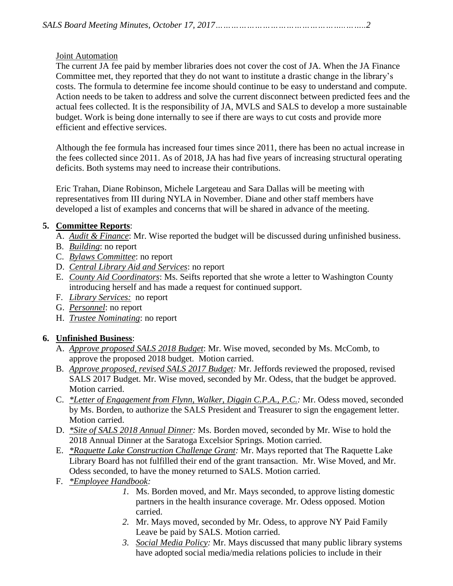#### Joint Automation

The current JA fee paid by member libraries does not cover the cost of JA. When the JA Finance Committee met, they reported that they do not want to institute a drastic change in the library's costs. The formula to determine fee income should continue to be easy to understand and compute. Action needs to be taken to address and solve the current disconnect between predicted fees and the actual fees collected. It is the responsibility of JA, MVLS and SALS to develop a more sustainable budget. Work is being done internally to see if there are ways to cut costs and provide more efficient and effective services.

Although the fee formula has increased four times since 2011, there has been no actual increase in the fees collected since 2011. As of 2018, JA has had five years of increasing structural operating deficits. Both systems may need to increase their contributions.

Eric Trahan, Diane Robinson, Michele Largeteau and Sara Dallas will be meeting with representatives from III during NYLA in November. Diane and other staff members have developed a list of examples and concerns that will be shared in advance of the meeting.

## **5. Committee Reports**:

- A. *Audit & Finance*: Mr. Wise reported the budget will be discussed during unfinished business.
- B. *Building*: no report
- C. *Bylaws Committee*: no report
- D. *Central Library Aid and Services*: no report
- E. *County Aid Coordinators*: Ms. Seifts reported that she wrote a letter to Washington County introducing herself and has made a request for continued support.
- F. *Library Services:* no report
- G. *Personnel*: no report
- H. *Trustee Nominating*: no report

## **6. Unfinished Business**:

- A. *Approve proposed SALS 2018 Budget*: Mr. Wise moved, seconded by Ms. McComb, to approve the proposed 2018 budget. Motion carried.
- B. *Approve proposed, revised SALS 2017 Budget:* Mr. Jeffords reviewed the proposed, revised SALS 2017 Budget. Mr. Wise moved, seconded by Mr. Odess, that the budget be approved. Motion carried.
- C. *\*Letter of Engagement from Flynn, Walker, Diggin C.P.A., P.C.:* Mr. Odess moved, seconded by Ms. Borden, to authorize the SALS President and Treasurer to sign the engagement letter. Motion carried.
- D. *\*Site of SALS 2018 Annual Dinner:* Ms. Borden moved, seconded by Mr. Wise to hold the 2018 Annual Dinner at the Saratoga Excelsior Springs. Motion carried.
- E. *\*Raquette Lake Construction Challenge Grant:* Mr. Mays reported that The Raquette Lake Library Board has not fulfilled their end of the grant transaction. Mr. Wise Moved, and Mr. Odess seconded, to have the money returned to SALS. Motion carried.
- F. *\*Employee Handbook:*
	- *1.* Ms. Borden moved, and Mr. Mays seconded, to approve listing domestic partners in the health insurance coverage. Mr. Odess opposed. Motion carried.
	- *2.* Mr. Mays moved, seconded by Mr. Odess, to approve NY Paid Family Leave be paid by SALS. Motion carried.
	- *3. Social Media Policy:* Mr. Mays discussed that many public library systems have adopted social media/media relations policies to include in their